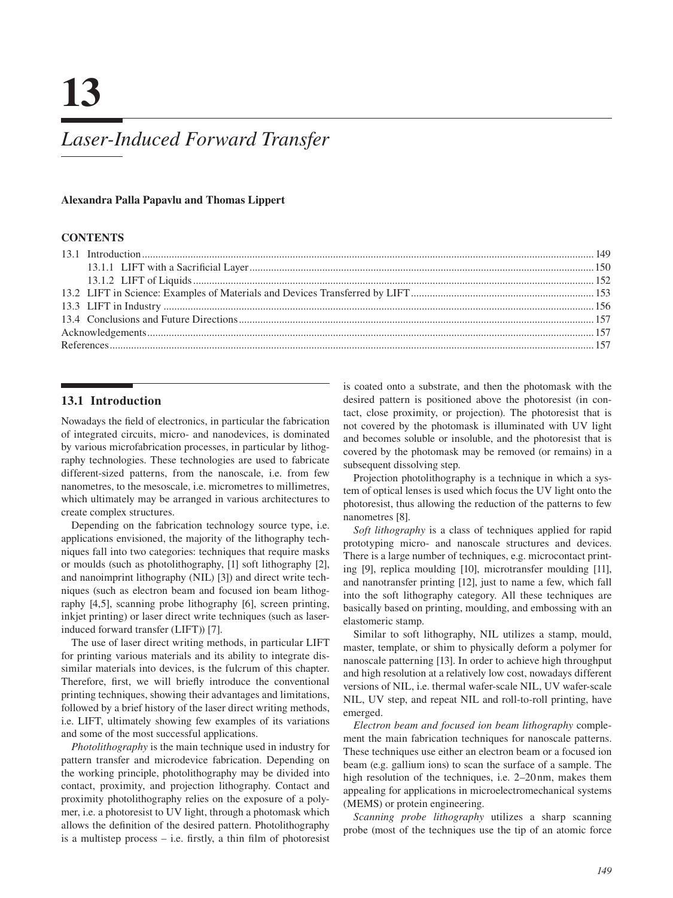# *[Laser-Induced Forward Transfer](#page--1-0)*

## **Alexandra Palla Papavlu and Thomas Lippert**

# **CONTENTS**

## **13.1 Introduction**

Nowadays the feld of electronics, in particular the fabrication of integrated circuits, micro- and nanodevices, is dominated by various microfabrication processes, in particular by lithography technologies. These technologies are used to fabricate different-sized patterns, from the nanoscale, i.e. from few nanometres, to the mesoscale, i.e. micrometres to millimetres, which ultimately may be arranged in various architectures to create complex structures.

Depending on the fabrication technology source type, i.e. applications envisioned, the majority of the lithography techniques fall into two categories: techniques that require masks or moulds (such as photolithography, [\[1\]](#page--1-0) soft lithography [2], and nanoimprint lithography (NIL) [3]) and direct write techniques (such as electron beam and focused ion beam lithography [\[4,5\]](#page--1-0), scanning probe lithography [\[6\]](#page--1-0), screen printing, inkjet printing) or laser direct write techniques (such as laserinduced forward transfer (LIFT)) [\[7\]](#page--1-0).

The use of laser direct writing methods, in particular LIFT for printing various materials and its ability to integrate dissimilar materials into devices, is the fulcrum of this chapter. Therefore, frst, we will briefy introduce the conventional printing techniques, showing their advantages and limitations, followed by a brief history of the laser direct writing methods, i.e. LIFT, ultimately showing few examples of its variations and some of the most successful applications.

*Photolithography* is the main technique used in industry for pattern transfer and microdevice fabrication. Depending on the working principle, photolithography may be divided into contact, proximity, and projection lithography. Contact and proximity photolithography relies on the exposure of a polymer, i.e. a photoresist to UV light, through a photomask which allows the defnition of the desired pattern. Photolithography is a multistep process – i.e. frstly, a thin flm of photoresist is coated onto a substrate, and then the photomask with the desired pattern is positioned above the photoresist (in contact, close proximity, or projection). The photoresist that is not covered by the photomask is illuminated with UV light and becomes soluble or insoluble, and the photoresist that is covered by the photomask may be removed (or remains) in a subsequent dissolving step.

Projection photolithography is a technique in which a system of optical lenses is used which focus the UV light onto the photoresist, thus allowing the reduction of the patterns to few nanometres [\[8\]](#page--1-0).

*Soft lithography* is a class of techniques applied for rapid prototyping micro- and nanoscale structures and devices. There is a large number of techniques, e.g. microcontact printing [\[9\]](#page--1-0), replica moulding [\[10\]](#page--1-0), microtransfer moulding [\[11\]](#page--1-0), and nanotransfer printing [\[12\]](#page--1-0), just to name a few, which fall into the soft lithography category. All these techniques are basically based on printing, moulding, and embossing with an elastomeric stamp.

Similar to soft lithography, NIL utilizes a stamp, mould, master, template, or shim to physically deform a polymer for nanoscale patterning [13]. In order to achieve high throughput and high resolution at a relatively low cost, nowadays different versions of NIL, i.e. thermal wafer-scale NIL, UV wafer-scale NIL, UV step, and repeat NIL and roll-to-roll printing, have emerged.

*Electron beam and focused ion beam lithography* complement the main fabrication techniques for nanoscale patterns. These techniques use either an electron beam or a focused ion beam (e.g. gallium ions) to scan the surface of a sample. The high resolution of the techniques, i.e. 2[–20](#page--1-0) nm, makes them appealing for applications in microelectromechanical systems (MEMS) or protein engineering.

*Scanning probe lithography* utilizes a sharp scanning probe (most of the techniques use the tip of an atomic force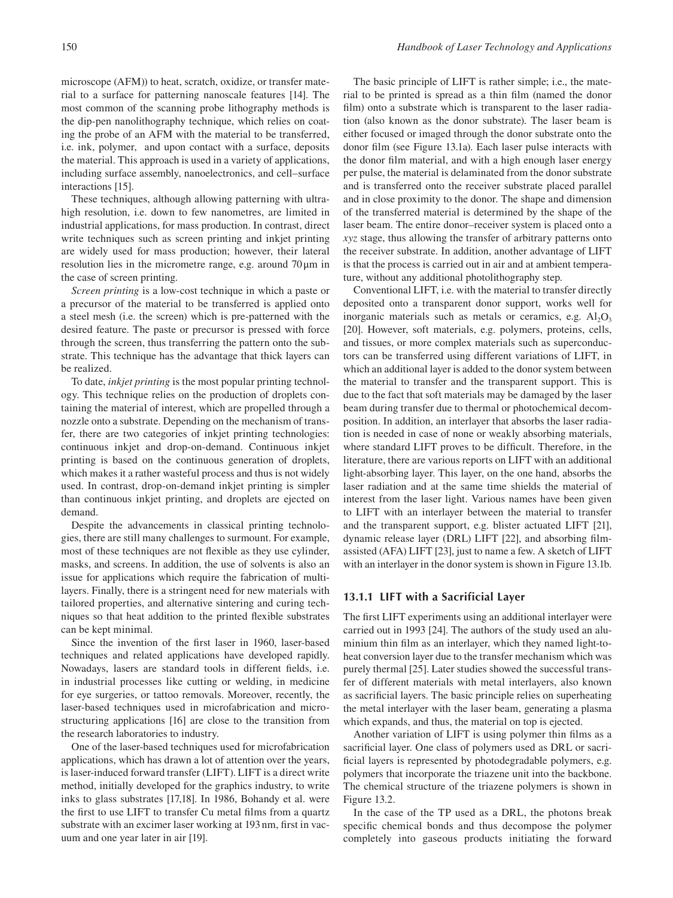microscope (AFM)) to heat, scratch, oxidize, or transfer material to a surface for patterning nanoscale features [\[14\]](#page--1-0). The most common of the scanning probe lithography methods is the dip-pen nanolithography technique, which relies on coating the probe of an AFM with the material to be transferred, i.e. ink, polymer, and upon contact with a surface, deposits the material. This approach is used in a variety of applications, including surface assembly, nanoelectronics, and cell–surface interactions [\[15\]](#page--1-0).

These techniques, although allowing patterning with ultrahigh resolution, i.e. down to few nanometres, are limited in industrial applications, for mass production. In contrast, direct write techniques such as screen printing and inkjet printing are widely used for mass production; however, their lateral resolution lies in the micrometre range, e.g. around [70](#page--1-0) μm in the case of screen printing.

*Screen printing* is a low-cost technique in which a paste or a precursor of the material to be transferred is applied onto a steel mesh (i.e. the screen) which is pre-patterned with the desired feature. The paste or precursor is pressed with force through the screen, thus transferring the pattern onto the substrate. This technique has the advantage that thick layers can be realized.

 fer, there are two categories of inkjet printing technologies: To date, *inkjet printing* is the most popular printing technology. This technique relies on the production of droplets containing the material of interest, which are propelled through a nozzle onto a substrate. Depending on the mechanism of transcontinuous inkjet and drop-on-demand. Continuous inkjet printing is based on the continuous generation of droplets, which makes it a rather wasteful process and thus is not widely used. In contrast, drop-on-demand inkjet printing is simpler than continuous inkjet printing, and droplets are ejected on demand.

Despite the advancements in classical printing technologies, there are still many challenges to surmount. For example, most of these techniques are not fexible as they use cylinder, masks, and screens. In addition, the use of solvents is also an issue for applications which require the fabrication of multilayers. Finally, there is a stringent need for new materials with tailored properties, and alternative sintering and curing techniques so that heat addition to the printed fexible substrates can be kept minimal.

Since the invention of the frst laser in 1960, laser-based techniques and related applications have developed rapidly. Nowadays, lasers are standard tools in different felds, i.e. in industrial processes like cutting or welding, in medicine for eye surgeries, or tattoo removals. Moreover, recently, the laser-based techniques used in microfabrication and microstructuring applications [\[16\]](#page--1-0) are close to the transition from the research laboratories to industry.

One of the laser-based techniques used for microfabrication applications, which has drawn a lot of attention over the years, is laser-induced forward transfer (LIFT). LIFT is a direct write method, initially developed for the graphics industry, to write inks to glass substrates [\[17,18\]](#page--1-0). In 1986, Bohandy et al. were the frst to use LIFT to transfer Cu metal flms from a quartz substrate with an excimer laser working at 193 nm, frst in vacuum and one year later in air [\[19\]](#page--1-0).

The basic principle of LIFT is rather simple; i.e., the material to be printed is spread as a thin flm (named the donor film) onto a substrate which is transparent to the laser radiation (also known as the donor substrate). The laser beam is either focused or imaged through the donor substrate onto the donor flm (see [Figure 13.1a\)](#page--1-0). Each laser pulse interacts with the donor flm material, and with a high enough laser energy per pulse, the material is delaminated from the donor substrate and is transferred onto the receiver substrate placed parallel and in close proximity to the donor. The shape and dimension of the transferred material is determined by the shape of the laser beam. The entire donor–receiver system is placed onto a *xyz* stage, thus allowing the transfer of arbitrary patterns onto the receiver substrate. In addition, another advantage of LIFT is that the process is carried out in air and at ambient temperature, without any additional photolithography step.

Conventional LIFT, i.e. with the material to transfer directly deposited onto a transparent donor support, works well for inorganic materials such as metals or ceramics, e.g.  $AI_2O_3$ [20]. However, soft materials, e.g. polymers, proteins, cells, and tissues, or more complex materials such as superconductors can be transferred using different variations of LIFT, in which an additional layer is added to the donor system between the material to transfer and the transparent support. This is due to the fact that soft materials may be damaged by the laser beam during transfer due to thermal or photochemical decomposition. In addition, an interlayer that absorbs the laser radiation is needed in case of none or weakly absorbing materials, where standard LIFT proves to be diffcult. Therefore, in the literature, there are various reports on LIFT with an additional light-absorbing layer. This layer, on the one hand, absorbs the laser radiation and at the same time shields the material of interest from the laser light. Various names have been given to LIFT with an interlayer between the material to transfer and the transparent support, e.g. blister actuated LIFT [\[21\]](#page--1-0), dynamic release layer (DRL) LIFT [\[22\]](#page--1-0), and absorbing flmassisted (AFA) LIFT [\[23\]](#page--1-0), just to name a few. A sketch of LIFT with an interlayer in the donor system is shown in [Figure 13.1b.](#page--1-0) 

### **[13.1.1 LIFT with a Sacrificial Layer](#page--1-0)**

The frst LIFT experiments using an additional interlayer were carried out in 1993 [\[24\]](#page--1-0). The authors of the study used an aluminium thin flm as an interlayer, which they named light-toheat conversion layer due to the transfer mechanism which was purely thermal [\[25\]](#page--1-0). Later studies showed the successful transfer of different materials with metal interlayers, also known as sacrifcial layers. The basic principle relies on superheating the metal interlayer with the laser beam, generating a plasma which expands, and thus, the material on top is ejected.

Another variation of LIFT is using polymer thin flms as a sacrifcial layer. One class of polymers used as DRL or sacrificial layers is represented by photodegradable polymers, e.g. polymers that incorporate the triazene unit into the backbone. The chemical structure of the triazene polymers is shown in [Figure 13.2.](#page--1-0) 

In the case of the TP used as a DRL, the photons break specifc chemical bonds and thus decompose the polymer completely into gaseous products initiating the forward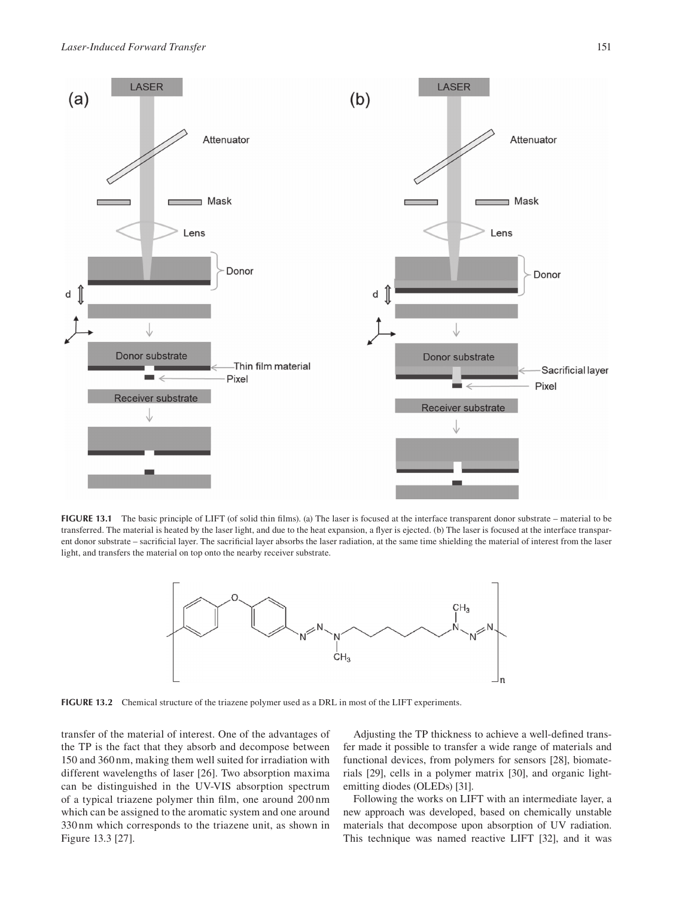

**FIGURE 13.1** The basic principle of LIFT (of solid thin flms). (a) The laser is focused at the interface transparent donor substrate – material to be transferred. The material is heated by the laser light, and due to the heat expansion, a flyer is ejected. (b) The laser is focused at the interface transparent donor substrate – sacrifcial layer. The sacrifcial layer absorbs the laser radiation, at the same time shielding the material of interest from the laser light, and transfers the material on top onto the nearby receiver substrate.



**FIGURE 13.2** Chemical structure of the triazene polymer used as a DRL in most of the LIFT experiments.

transfer of the material of interest. One of the advantages of the TP is the fact that they absorb and decompose between 150 and 360 nm, making them well suited for irradiation with different wavelengths of laser [\[26\]](#page--1-0). Two absorption maxima can be distinguished in the UV-VIS absorption spectrum of a typical triazene polymer thin flm, one around 200 nm which can be assigned to the aromatic system and one around 330 nm which corresponds to the triazene unit, as shown in [Figure 13.3 \[27\].](#page--1-0)

Adjusting the TP thickness to achieve a well-defned transfer made it possible to transfer a wide range of materials and functional devices, from polymers for sensors [\[28\]](#page--1-0), biomaterials [\[29\]](#page--1-0), cells in a polymer matrix [\[30\]](#page--1-0), and organic lightemitting diodes (OLEDs) [\[31\]](#page--1-0).

Following the works on LIFT with an intermediate layer, a new approach was developed, based on chemically unstable materials that decompose upon absorption of UV radiation. This technique was named reactive LIFT [\[32\]](#page--1-0), and it was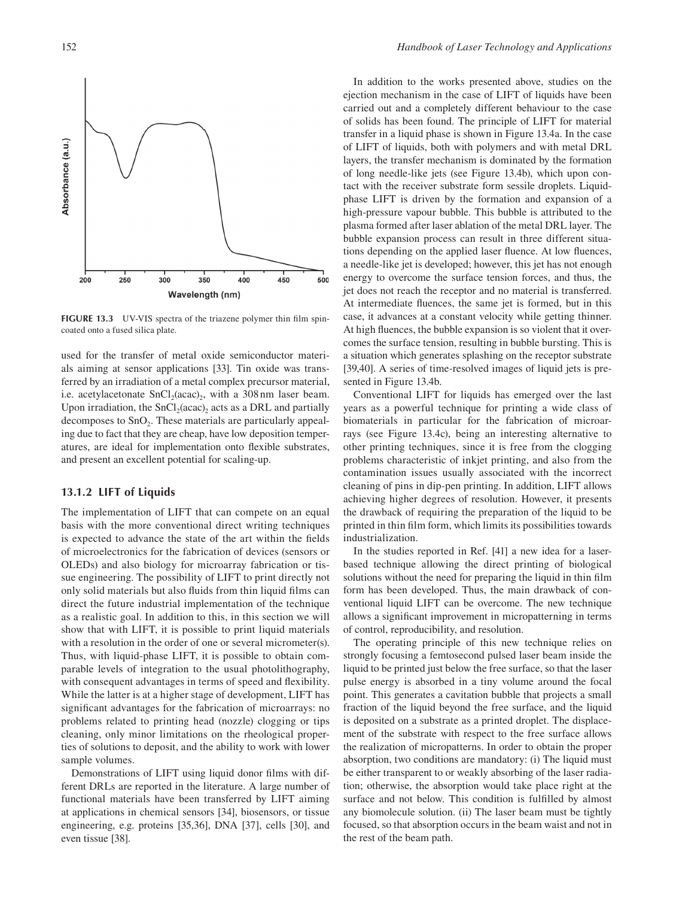

FIGURE 13.3 UV-VIS spectra of the triazene polymer thin film spincoated onto a fused silica plate.

used for the transfer of metal oxide semiconductor materials aiming at sensor applications [\[33\]](#page--1-0). Tin oxide was transferred by an irradiation of a metal complex precursor material, i.e. acetylacetonate  $SnCl<sub>2</sub>(acac)<sub>2</sub>$ , with a 308 nm laser beam. Upon irradiation, the  $SnCl<sub>2</sub>(acac)$ , acts as a DRL and partially decomposes to  $SnO<sub>2</sub>$ . These materials are particularly appealing due to fact that they are cheap, have low deposition temperatures, are ideal for implementation onto fexible substrates, and present an excellent potential for scaling-up.

#### **[13.1.2 LIFT of Liquids](#page--1-0)**

The implementation of LIFT that can compete on an equal basis with the more conventional direct writing techniques is expected to advance the state of the art within the felds of microelectronics for the fabrication of devices (sensors or OLEDs) and also biology for microarray fabrication or tissue engineering. The possibility of LIFT to print directly not only solid materials but also fuids from thin liquid flms can direct the future industrial implementation of the technique as a realistic goal. In addition to this, in this section we will show that with LIFT, it is possible to print liquid materials with a resolution in the order of one or several micrometer(s). Thus, with liquid-phase LIFT, it is possible to obtain comparable levels of integration to the usual photolithography, with consequent advantages in terms of speed and fexibility. While the latter is at a higher stage of development, LIFT has signifcant advantages for the fabrication of microarrays: no problems related to printing head (nozzle) clogging or tips cleaning, only minor limitations on the rheological properties of solutions to deposit, and the ability to work with lower sample volumes.

Demonstrations of LIFT using liquid donor flms with different DRLs are reported in the literature. A large number of functional materials have been transferred by LIFT aiming at applications in chemical sensors [\[34\]](#page--1-0), biosensors, or tissue engineering, e.g. proteins [\[35,36\]](#page--1-0), DNA [\[37\]](#page--1-0), cells [30], and even tissue [\[38\]](#page--1-0).

In addition to the works presented above, studies on the ejection mechanism in the case of LIFT of liquids have been carried out and a completely different behaviour to the case of solids has been found. The principle of LIFT for material transfer in a liquid phase is shown in [Figure 13.4a.](#page--1-0) In the case of LIFT of liquids, both with polymers and with metal DRL layers, the transfer mechanism is dominated by the formation of long needle-like jets (see [Figure 13.4b\)](#page--1-0), which upon contact with the receiver substrate form sessile droplets. Liquidphase LIFT is driven by the formation and expansion of a high-pressure vapour bubble. This bubble is attributed to the plasma formed after laser ablation of the metal DRL layer. The bubble expansion process can result in three different situations depending on the applied laser fuence. At low fuences, a needle-like jet is developed; however, this jet has not enough energy to overcome the surface tension forces, and thus, the jet does not reach the receptor and no material is transferred. At intermediate fuences, the same jet is formed, but in this case, it advances at a constant velocity while getting thinner. At high fuences, the bubble expansion is so violent that it overcomes the surface tension, resulting in bubble bursting. This is a situation which generates splashing on the receptor substrate [\[39,40\]](#page--1-0). A series of time-resolved images of liquid jets is presented in [Figure 13.4b.](#page--1-0)

Conventional LIFT for liquids has emerged over the last years as a powerful technique for printing a wide class of biomaterials in particular for the fabrication of microarrays (see [Figure 13.4c\),](#page--1-0) being an interesting alternative to other printing techniques, since it is free from the clogging problems characteristic of inkjet printing, and also from the contamination issues usually associated with the incorrect cleaning of pins in dip-pen printing. In addition, LIFT allows achieving higher degrees of resolution. However, it presents the drawback of requiring the preparation of the liquid to be printed in thin flm form, which limits its possibilities towards industrialization.

In the studies reported in Ref. [\[41\]](#page--1-0) a new idea for a laserbased technique allowing the direct printing of biological solutions without the need for preparing the liquid in thin flm form has been developed. Thus, the main drawback of conventional liquid LIFT can be overcome. The new technique allows a signifcant improvement in micropatterning in terms of control, reproducibility, and resolution.

The operating principle of this new technique relies on strongly focusing a femtosecond pulsed laser beam inside the liquid to be printed just below the free surface, so that the laser pulse energy is absorbed in a tiny volume around the focal point. This generates a cavitation bubble that projects a small fraction of the liquid beyond the free surface, and the liquid is deposited on a substrate as a printed droplet. The displacement of the substrate with respect to the free surface allows the realization of micropatterns. In order to obtain the proper absorption, two conditions are mandatory: (i) The liquid must be either transparent to or weakly absorbing of the laser radiation; otherwise, the absorption would take place right at the surface and not below. This condition is fulflled by almost any biomolecule solution. (ii) The laser beam must be tightly focused, so that absorption occurs in the beam waist and not in the rest of the beam path.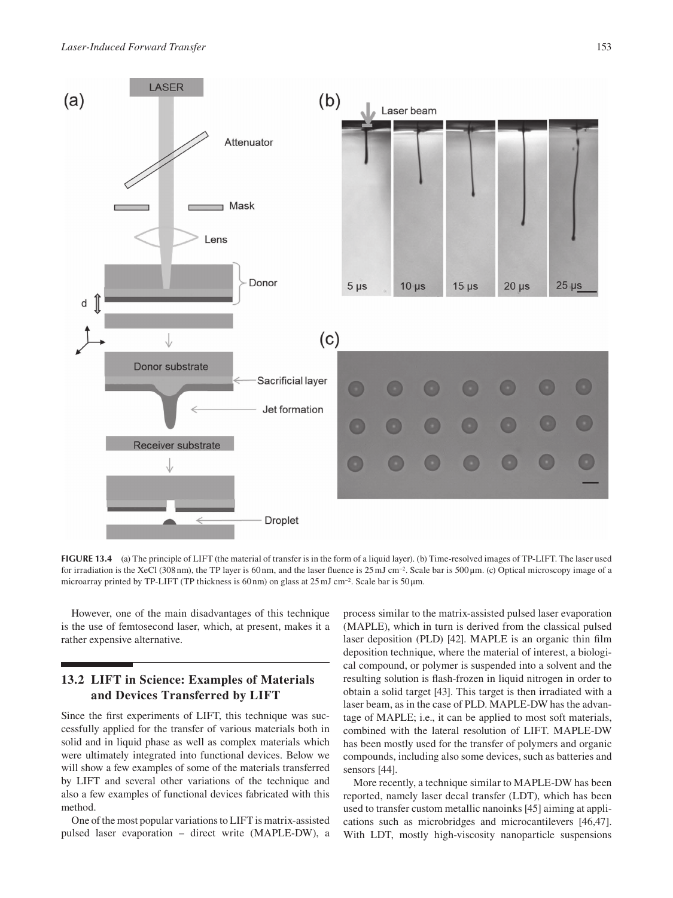

**FIGURE 13.4** (a) The principle of LIFT (the material of transfer is in the form of a liquid layer). (b) Time-resolved images of TP-LIFT. The laser used for irradiation is the XeCl (308 nm), the TP layer is 60 nm, and the laser fuence is 25 mJ cm−2. Scale bar is 500 μm. (c) Optical microscopy image of a microarray printed by TP-LIFT (TP thickness is 60 nm) on glass at  $25 \text{ mJ cm}^{-2}$ . Scale bar is  $50 \mu \text{m}$ .

However, one of the main disadvantages of this technique is the use of femtosecond laser, which, at present, makes it a rather expensive alternative.

# **[13.2 LIFT in Science: Examples of Materials](#page--1-0)  and Devices Transferred by LIFT**

Since the frst experiments of LIFT, this technique was successfully applied for the transfer of various materials both in solid and in liquid phase as well as complex materials which were ultimately integrated into functional devices. Below we will show a few examples of some of the materials transferred by LIFT and several other variations of the technique and also a few examples of functional devices fabricated with this method.

One of the most popular variations to LIFT is matrix-assisted pulsed laser evaporation – direct write (MAPLE-DW), a

process similar to the matrix-assisted pulsed laser evaporation (MAPLE), which in turn is derived from the classical pulsed laser deposition (PLD) [\[42\]](#page--1-0). MAPLE is an organic thin flm deposition technique, where the material of interest, a biological compound, or polymer is suspended into a solvent and the resulting solution is fash-frozen in liquid nitrogen in order to obtain a solid target [\[43\]](#page--1-0). This target is then irradiated with a laser beam, as in the case of PLD. MAPLE-DW has the advantage of MAPLE; i.e., it can be applied to most soft materials, combined with the lateral resolution of LIFT. MAPLE-DW has been mostly used for the transfer of polymers and organic compounds, including also some devices, such as batteries and sensors [\[44\]](#page--1-0).

More recently, a technique similar to MAPLE-DW has been reported, namely laser decal transfer (LDT), which has been used to transfer custom metallic nanoinks [\[45\]](#page--1-0) aiming at applications such as microbridges and microcantilevers [\[46,47\]](#page--1-0). With LDT, mostly high-viscosity nanoparticle suspensions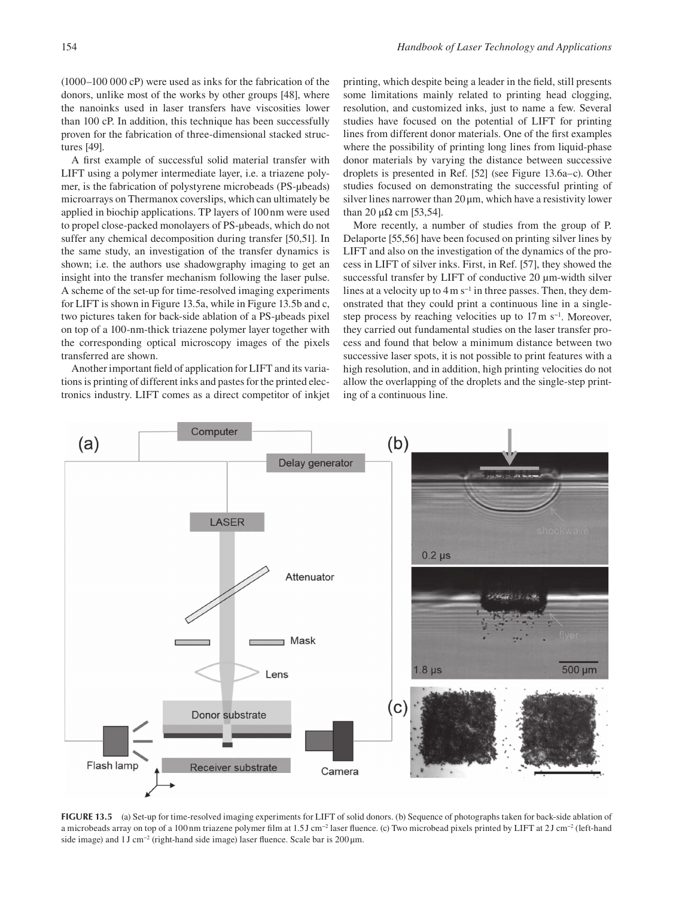(1000–100 000 cP) were used as inks for the fabrication of the donors, unlike most of the works by other groups [\[48\]](#page--1-0), where the nanoinks used in laser transfers have viscosities lower than 100 cP. In addition, this technique has been successfully proven for the fabrication of three-dimensional stacked structures [\[49\]](#page--1-0).

A frst example of successful solid material transfer with LIFT using a polymer intermediate layer, i.e. a triazene polymer, is the fabrication of polystyrene microbeads (PS-μbeads) microarrays on Thermanox coverslips, which can ultimately be applied in biochip applications. TP layers of 100 nm were used to propel close-packed monolayers of PS-μbeads, which do not suffer any chemical decomposition during transfer [\[50,51\]](#page--1-0). In the same study, an investigation of the transfer dynamics is shown; i.e. the authors use shadowgraphy imaging to get an insight into the transfer mechanism following the laser pulse. A scheme of the set-up for time-resolved imaging experiments for LIFT is shown in Figure 13.5a, while in Figure 13.5b and c, two pictures taken for back-side ablation of a PS-μbeads pixel on top of a 100-nm-thick triazene polymer layer together with the corresponding optical microscopy images of the pixels transferred are shown.

Another important feld of application for LIFT and its variations is printing of different inks and pastes for the printed electronics industry. LIFT comes as a direct competitor of inkjet printing, which despite being a leader in the feld, still presents some limitations mainly related to printing head clogging, resolution, and customized inks, just to name a few. Several studies have focused on the potential of LIFT for printing lines from different donor materials. One of the frst examples where the possibility of printing long lines from liquid-phase donor materials by varying the distance between successive droplets is presented in Ref. [\[52\]](#page--1-0) (see [Figure 13.6a–c\).](#page--1-0) Other studies focused on demonstrating the successful printing of silver lines narrower than  $20 \mu m$ , which have a resistivity lower than 20  $\mu\Omega$  cm [\[53,54\]](#page--1-0).

More recently, a number of studies from the group of P. Delaporte [\[55,56\]](#page--1-0) have been focused on printing silver lines by LIFT and also on the investigation of the dynamics of the process in LIFT of silver inks. First, in Ref. [\[57\]](#page--1-0), they showed the successful transfer by LIFT of conductive 20 μm-width silver lines at a velocity up to  $4 \text{ m s}^{-1}$  in three passes. Then, they demonstrated that they could print a continuous line in a singlestep process by reaching velocities up to 17 m s<sup>−1</sup>. Moreover, they carried out fundamental studies on the laser transfer process and found that below a minimum distance between two successive laser spots, it is not possible to print features with a high resolution, and in addition, high printing velocities do not allow the overlapping of the droplets and the single-step printing of a continuous line.



**FIGURE 13.5** (a) Set-up for time-resolved imaging experiments for LIFT of solid donors. (b) Sequence of photographs taken for back-side ablation of a microbeads array on top of a 100 nm triazene polymer film at 1.5 J cm<sup>-2</sup> laser fluence. (c) Two microbead pixels printed by LIFT at 2 J cm<sup>-2</sup> (left-hand side image) and 1J cm<sup>-2</sup> (right-hand side image) laser fluence. Scale bar is 200μm.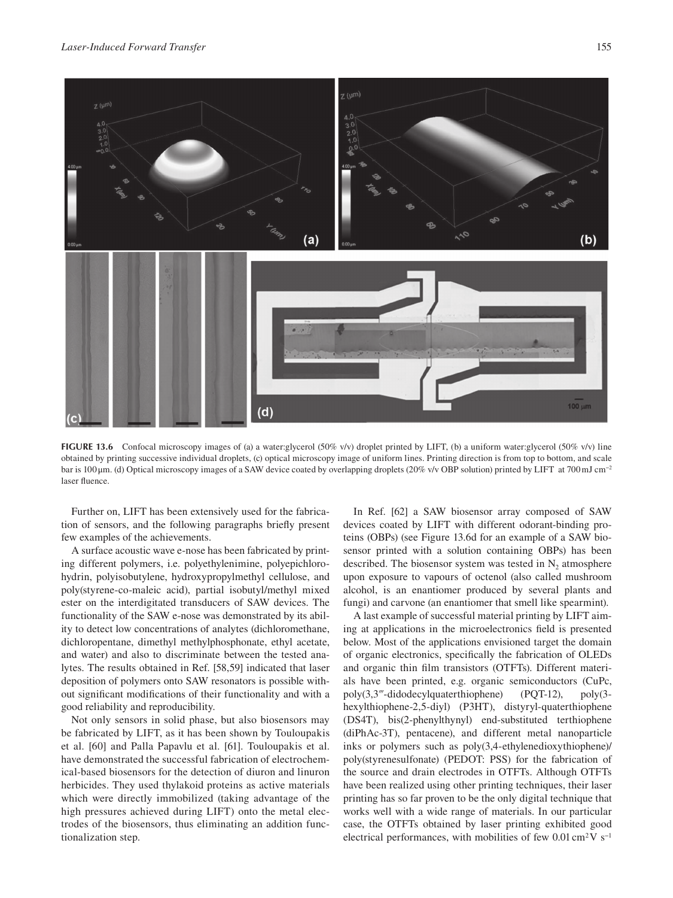

**FIGURE 13.6** Confocal microscopy images of (a) a water:glycerol (50% v/v) droplet printed by LIFT, (b) a uniform water:glycerol (50% v/v) line obtained by printing successive individual droplets, (c) optical microscopy image of uniform lines. Printing direction is from top to bottom, and scale bar is 100 μm. (d) Optical microscopy images of a SAW device coated by overlapping droplets (20% v/v OBP solution) printed by LIFT at 700 mJ cm−2 laser fuence.

Further on, LIFT has been extensively used for the fabrication of sensors, and the following paragraphs briefy present few examples of the achievements.

A surface acoustic wave e-nose has been fabricated by printing different polymers, i.e. polyethylenimine, polyepichlorohydrin, polyisobutylene, hydroxypropylmethyl cellulose, and poly(styrene-co-maleic acid), partial isobutyl/methyl mixed ester on the interdigitated transducers of SAW devices. The functionality of the SAW e-nose was demonstrated by its ability to detect low concentrations of analytes (dichloromethane, dichloropentane, dimethyl methylphosphonate, ethyl acetate, and water) and also to discriminate between the tested analytes. The results obtained in Ref. [\[58,59\]](#page--1-0) indicated that laser deposition of polymers onto SAW resonators is possible without signifcant modifcations of their functionality and with a good reliability and reproducibility.

Not only sensors in solid phase, but also biosensors may be fabricated by LIFT, as it has been shown by Touloupakis et al. [\[60\]](#page--1-0) and Palla Papavlu et al. [\[61\]](#page--1-0). Touloupakis et al. have demonstrated the successful fabrication of electrochemical-based biosensors for the detection of diuron and linuron herbicides. They used thylakoid proteins as active materials which were directly immobilized (taking advantage of the high pressures achieved during LIFT) onto the metal electrodes of the biosensors, thus eliminating an addition functionalization step.

In Ref. [\[62\]](#page--1-0) a SAW biosensor array composed of SAW devices coated by LIFT with different odorant-binding proteins (OBPs) (see Figure 13.6d for an example of a SAW biosensor printed with a solution containing OBPs) has been described. The biosensor system was tested in  $N_2$  atmosphere upon exposure to vapours of octenol (also called mushroom alcohol, is an enantiomer produced by several plants and fungi) and carvone (an enantiomer that smell like spearmint).

A last example of successful material printing by LIFT aiming at applications in the microelectronics feld is presented below. Most of the applications envisioned target the domain of organic electronics, specifcally the fabrication of OLEDs and organic thin flm transistors (OTFTs). Different materials have been printed, e.g. organic semiconductors (CuPc, poly(3,3‴-didodecylquaterthiophene) (PQT-12), poly(3 hexylthiophene-2,5-diyl) (P3HT), distyryl-quaterthiophene (DS4T), bis(2-phenylthynyl) end-substituted terthiophene (diPhAc-3T), pentacene), and different metal nanoparticle inks or polymers such as poly(3,4-ethylenedioxythiophene)/ poly(styrenesulfonate) (PEDOT: PSS) for the fabrication of the source and drain electrodes in OTFTs. Although OTFTs have been realized using other printing techniques, their laser printing has so far proven to be the only digital technique that works well with a wide range of materials. In our particular case, the OTFTs obtained by laser printing exhibited good electrical performances, with mobilities of few  $0.01 \text{ cm}^2 \text{V s}^{-1}$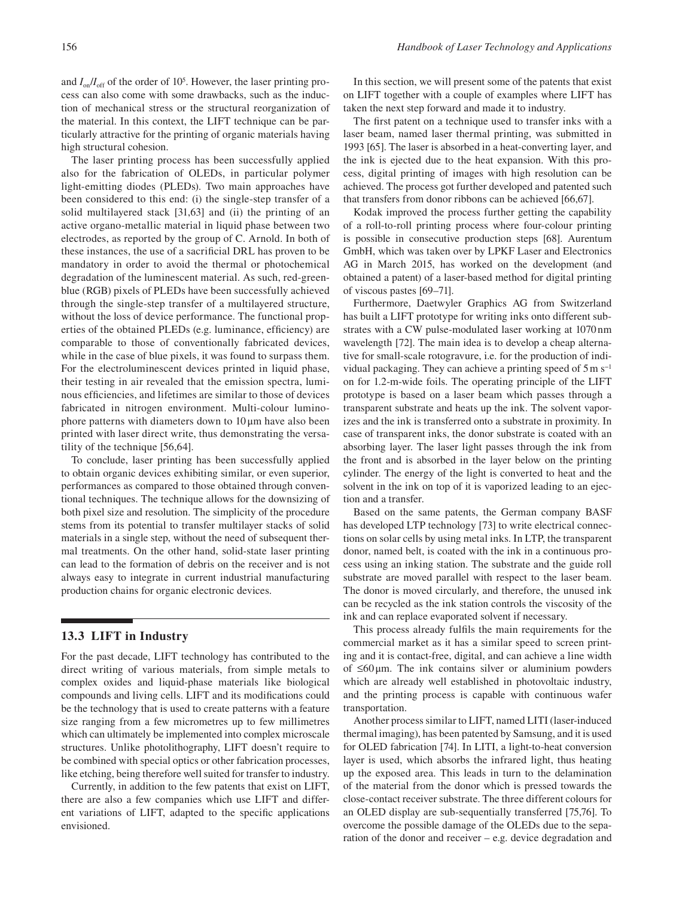and  $I_{on}/I_{off}$  of the order of 10<sup>5</sup>. However, the laser printing process can also come with some drawbacks, such as the induction of mechanical stress or the structural reorganization of the material. In this context, the LIFT technique can be particularly attractive for the printing of organic materials having high structural cohesion.

The laser printing process has been successfully applied also for the fabrication of OLEDs, in particular polymer light-emitting diodes (PLEDs). Two main approaches have been considered to this end: (i) the single-step transfer of a solid multilayered stack [31[,63\]](#page--1-0) and (ii) the printing of an active organo-metallic material in liquid phase between two electrodes, as reported by the group of C. Arnold. In both of these instances, the use of a sacrifcial DRL has proven to be mandatory in order to avoid the thermal or photochemical degradation of the luminescent material. As such, red-greenblue (RGB) pixels of PLEDs have been successfully achieved through the single-step transfer of a multilayered structure, without the loss of device performance. The functional properties of the obtained PLEDs (e.g. luminance, efficiency) are comparable to those of conventionally fabricated devices, while in the case of blue pixels, it was found to surpass them. For the electroluminescent devices printed in liquid phase, their testing in air revealed that the emission spectra, luminous effciencies, and lifetimes are similar to those of devices fabricated in nitrogen environment. Multi-colour luminophore patterns with diameters down to  $10 \mu$ m have also been printed with laser direct write, thus demonstrating the versatility of the technique [56[,64\]](#page--1-0).

To conclude, laser printing has been successfully applied to obtain organic devices exhibiting similar, or even superior, performances as compared to those obtained through conventional techniques. The technique allows for the downsizing of both pixel size and resolution. The simplicity of the procedure stems from its potential to transfer multilayer stacks of solid materials in a single step, without the need of subsequent thermal treatments. On the other hand, solid-state laser printing can lead to the formation of debris on the receiver and is not always easy to integrate in current industrial manufacturing production chains for organic electronic devices.

# **[13.3 LIFT in Industry](#page--1-0)**

For the past decade, LIFT technology has contributed to the direct writing of various materials, from simple metals to complex oxides and liquid-phase materials like biological compounds and living cells. LIFT and its modifcations could be the technology that is used to create patterns with a feature size ranging from a few micrometres up to few millimetres which can ultimately be implemented into complex microscale structures. Unlike photolithography, LIFT doesn't require to be combined with special optics or other fabrication processes, like etching, being therefore well suited for transfer to industry.

Currently, in addition to the few patents that exist on LIFT, there are also a few companies which use LIFT and different variations of LIFT, adapted to the specifc applications envisioned.

In this section, we will present some of the patents that exist on LIFT together with a couple of examples where LIFT has taken the next step forward and made it to industry.

The frst patent on a technique used to transfer inks with a laser beam, named laser thermal printing, was submitted in 1993 [\[65\]](#page--1-0). The laser is absorbed in a heat-converting layer, and the ink is ejected due to the heat expansion. With this process, digital printing of images with high resolution can be achieved. The process got further developed and patented such that transfers from donor ribbons can be achieved [\[66,67\]](#page--1-0).

Kodak improved the process further getting the capability of a roll-to-roll printing process where four-colour printing is possible in consecutive production steps [\[68\]](#page--1-0). Aurentum GmbH, which was taken over by LPKF Laser and Electronics AG in March 2015, has worked on the development (and obtained a patent) of a laser-based method for digital printing of viscous pastes [\[69–71\]](#page--1-0).

Furthermore, Daetwyler Graphics AG from Switzerland has built a LIFT prototype for writing inks onto different substrates with a CW pulse-modulated laser working at 1070 nm wavelength [\[72\]](#page--1-0). The main idea is to develop a cheap alternative for small-scale rotogravure, i.e. for the production of individual packaging. They can achieve a printing speed of 5 m s−1 on for 1.2-m-wide foils. The operating principle of the LIFT prototype is based on a laser beam which passes through a transparent substrate and heats up the ink. The solvent vaporizes and the ink is transferred onto a substrate in proximity. In case of transparent inks, the donor substrate is coated with an absorbing layer. The laser light passes through the ink from the front and is absorbed in the layer below on the printing cylinder. The energy of the light is converted to heat and the solvent in the ink on top of it is vaporized leading to an ejection and a transfer.

Based on the same patents, the German company BASF has developed LTP technology [\[73\]](#page--1-0) to write electrical connections on solar cells by using metal inks. In LTP, the transparent donor, named belt, is coated with the ink in a continuous process using an inking station. The substrate and the guide roll substrate are moved parallel with respect to the laser beam. The donor is moved circularly, and therefore, the unused ink can be recycled as the ink station controls the viscosity of the ink and can replace evaporated solvent if necessary.

This process already fulfls the main requirements for the commercial market as it has a similar speed to screen printing and it is contact-free, digital, and can achieve a line width of  $\leq 60 \,\mu$ m. The ink contains silver or aluminium powders which are already well established in photovoltaic industry, and the printing process is capable with continuous wafer transportation.

Another process similar to LIFT, named LITI (laser-induced thermal imaging), has been patented by Samsung, and it is used for OLED fabrication [\[74\]](#page--1-0). In LITI, a light-to-heat conversion layer is used, which absorbs the infrared light, thus heating up the exposed area. This leads in turn to the delamination of the material from the donor which is pressed towards the close-contact receiver substrate. The three different colours for an OLED display are sub-sequentially transferred [\[75,76\]](#page--1-0). To overcome the possible damage of the OLEDs due to the separation of the donor and receiver – e.g. device degradation and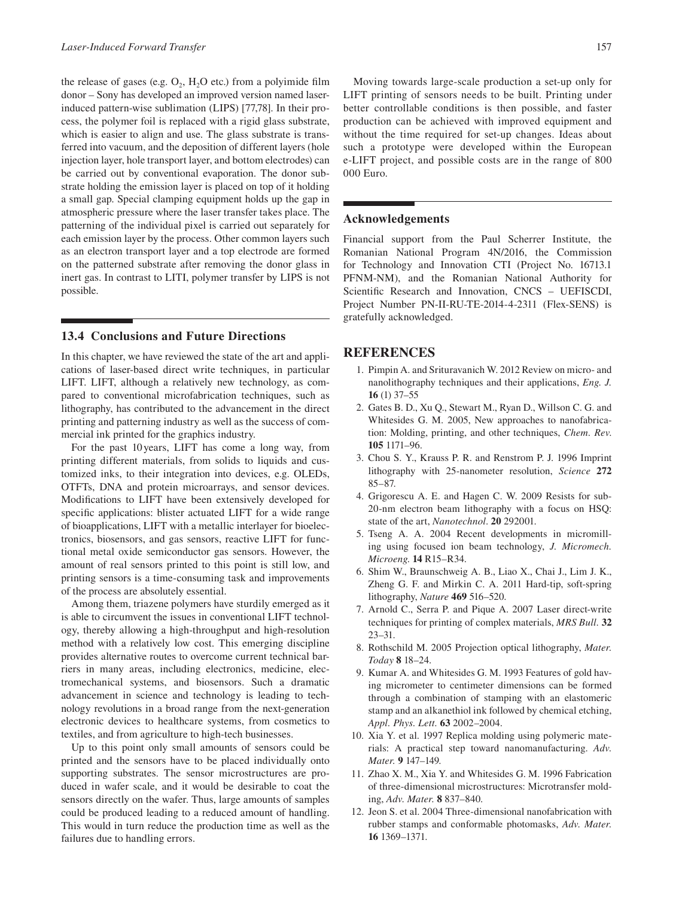the release of gases (e.g.  $O_2$ ,  $H_2O$  etc.) from a polyimide film donor – Sony has developed an improved version named laserinduced pattern-wise sublimation (LIPS) [\[77,78\]](#page--1-0). In their process, the polymer foil is replaced with a rigid glass substrate, which is easier to align and use. The glass substrate is transferred into vacuum, and the deposition of different layers (hole injection layer, hole transport layer, and bottom electrodes) can be carried out by conventional evaporation. The donor substrate holding the emission layer is placed on top of it holding a small gap. Special clamping equipment holds up the gap in atmospheric pressure where the laser transfer takes place. The patterning of the individual pixel is carried out separately for each emission layer by the process. Other common layers such as an electron transport layer and a top electrode are formed on the patterned substrate after removing the donor glass in inert gas. In contrast to LITI, polymer transfer by LIPS is not possible.

## **[13.4 Conclusions and Future Directions](#page--1-0)**

In this chapter, we have reviewed the state of the art and applications of laser-based direct write techniques, in particular LIFT. LIFT, although a relatively new technology, as compared to conventional microfabrication techniques, such as lithography, has contributed to the advancement in the direct printing and patterning industry as well as the success of commercial ink printed for the graphics industry.

For the past 10 years, LIFT has come a long way, from printing different materials, from solids to liquids and customized inks, to their integration into devices, e.g. OLEDs, OTFTs, DNA and protein microarrays, and sensor devices. Modifcations to LIFT have been extensively developed for specifc applications: blister actuated LIFT for a wide range of bioapplications, LIFT with a metallic interlayer for bioelectronics, biosensors, and gas sensors, reactive LIFT for functional metal oxide semiconductor gas sensors. However, the amount of real sensors printed to this point is still low, and printing sensors is a time-consuming task and improvements of the process are absolutely essential.

Among them, triazene polymers have sturdily emerged as it is able to circumvent the issues in conventional LIFT technology, thereby allowing a high-throughput and high-resolution method with a relatively low cost. This emerging discipline provides alternative routes to overcome current technical barriers in many areas, including electronics, medicine, electromechanical systems, and biosensors. Such a dramatic advancement in science and technology is leading to technology revolutions in a broad range from the next-generation electronic devices to healthcare systems, from cosmetics to textiles, and from agriculture to high-tech businesses.

Up to this point only small amounts of sensors could be printed and the sensors have to be placed individually onto supporting substrates. The sensor microstructures are produced in wafer scale, and it would be desirable to coat the sensors directly on the wafer. Thus, large amounts of samples could be produced leading to a reduced amount of handling. This would in turn reduce the production time as well as the failures due to handling errors.

Moving towards large-scale production a set-up only for LIFT printing of sensors needs to be built. Printing under better controllable conditions is then possible, and faster production can be achieved with improved equipment and without the time required for set-up changes. Ideas about such a prototype were developed within the European e-LIFT project, and possible costs are in the range of 800 000 Euro.

### **[Acknowledgements](#page--1-0)**

Financial support from the Paul Scherrer Institute, the Romanian National Program 4N/2016, the Commission for Technology and Innovation CTI (Project No. 16713.1 PFNM-NM), and the Romanian National Authority for Scientifc Research and Innovation, CNCS – UEFISCDI, Project Number PN-II-RU-TE-2014-4-2311 (Flex-SENS) is gratefully acknowledged.

### **[REFERENCES](#page--1-0)**

- [1](#page--1-0). Pimpin A. and Srituravanich W. 2012 Review on micro- and nanolithography techniques and their applications, *Eng. J.*  **16** (1) 37–55
- [2](#page--1-0). Gates B. D., Xu Q., Stewart M., Ryan D., Willson C. G. and Whitesides G. M. 2005, New approaches to nanofabrication: Molding, printing, and other techniques, *Chem. Rev*. **105** 1171–96.
- lithography with 25-nanometer resolution, *Science* **272**  [3](#page--1-0). Chou S. Y., Krauss P. R. and Renstrom P. J. 1996 Imprint 85–87.
- [4](#page--1-0). Grigorescu A. E. and Hagen C. W. 2009 Resists for sub-20-nm electron beam lithography with a focus on HSQ: state of the art, *Nanotechnol*. **20** 292001.
- [5](#page--1-0). Tseng A. A. 2004 Recent developments in micromilling using focused ion beam technology, *J. Micromech. Microeng*. **14** R15–R34.
- [6](#page--1-0). Shim W., Braunschweig A. B., Liao X., Chai J., Lim J. K., Zheng G. F. and Mirkin C. A. 2011 Hard-tip, soft-spring lithography, *Nature* **469** 516–520.
- techniques for printing of complex materials, *MRS Bull.* **32**  [7](#page--1-0). Arnold C., Serra P. and Pique A. 2007 Laser direct-write 23–31.
- [8](#page--1-0). Rothschild M. 2005 Projection optical lithography, *Mater. Today* **8** 18–24.
- [9](#page--1-0). Kumar A. and Whitesides G. M. 1993 Features of gold having micrometer to centimeter dimensions can be formed through a combination of stamping with an elastomeric stamp and an alkanethiol ink followed by chemical etching, *Appl. Phys. Lett.* **63** 2002–2004.
- [10](#page--1-0). Xia Y. et al. 1997 Replica molding using polymeric materials: A practical step toward nanomanufacturing. *Adv. Mater.* **9** 147–149.
- [11](#page--1-0). Zhao X. M., Xia Y. and Whitesides G. M. 1996 Fabrication of three-dimensional microstructures: Microtransfer molding, *Adv. Mater.* **8** 837–840.
- [12](#page--1-0). Jeon S. et al. 2004 Three-dimensional nanofabrication with rubber stamps and conformable photomasks, *Adv. Mater.*  **16** 1369–1371.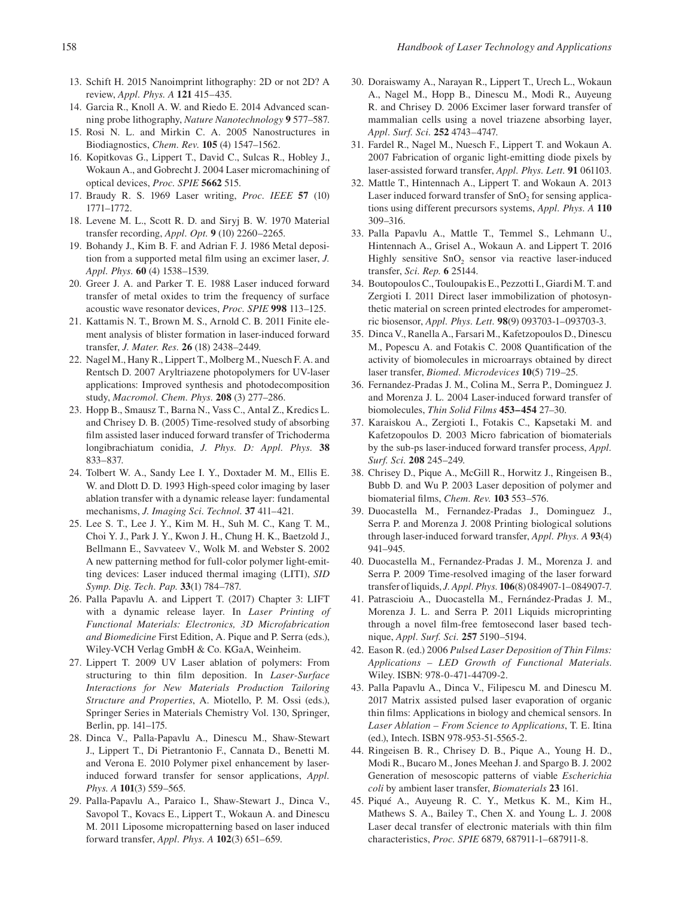- [13](#page--1-0). Schift H. 2015 Nanoimprint lithography: 2D or not 2D? A review, *Appl. Phys. A* **121** 415–435.
- [14](#page--1-0). Garcia R., Knoll A. W. and Riedo E. 2014 Advanced scanning probe lithography, *Nature Nanotechnology* **9** 577–587.
- [15](#page--1-0). Rosi N. L. and Mirkin C. A. 2005 Nanostructures in Biodiagnostics, *Chem. Rev.* **105** (4) 1547–1562.
- [16](#page--1-0). Kopitkovas G., Lippert T., David C., Sulcas R., Hobley J., Wokaun A., and Gobrecht J. 2004 Laser micromachining of optical devices, *Proc. SPIE* **5662** 515.
- [17](#page--1-0). Braudy R. S. 1969 Laser writing, *Proc. IEEE* **57** (10) 1771–1772.
- [18](#page--1-0). Levene M. L., Scott R. D. and Siryj B. W. 1970 Material transfer recording, *Appl. Opt.* **9** (10) 2260–2265.
- [19](#page--1-0). Bohandy J., Kim B. F. and Adrian F. J. 1986 Metal deposition from a supported metal film using an excimer laser, *J. Appl. Phys.* **60** (4) 1538–1539.
- [20](#page--1-0). Greer J. A. and Parker T. E. 1988 Laser induced forward transfer of metal oxides to trim the frequency of surface acoustic wave resonator devices, *Proc. SPIE* **998** 113–125.
- [21](#page--1-0). Kattamis N. T., Brown M. S., Arnold C. B. 2011 Finite element analysis of blister formation in laser-induced forward transfer, *J. Mater. Res.* **26** (18) 2438–2449.
- [22](#page--1-0). Nagel M., Hany R., Lippert T., Molberg M., Nuesch F. A. and Rentsch D. 2007 Aryltriazene photopolymers for UV-laser applications: Improved synthesis and photodecomposition study, *Macromol. Chem. Phys.* **208** (3) 277–286.
- longibrachiatum conidia, *J. Phys. D: Appl. Phys.* **38**  [23](#page--1-0). Hopp B., Smausz T., Barna N., Vass C., Antal Z., Kredics L. and Chrisey D. B. (2005) Time-resolved study of absorbing flm assisted laser induced forward transfer of Trichoderma 833–837.
- [24](#page--1-0). Tolbert W. A., Sandy Lee I. Y., Doxtader M. M., Ellis E. W. and Dlott D. D. 1993 High-speed color imaging by laser ablation transfer with a dynamic release layer: fundamental mechanisms, *J. Imaging Sci. Technol.* **37** 411–421.
- [25](#page--1-0). Lee S. T., Lee J. Y., Kim M. H., Suh M. C., Kang T. M., Choi Y. J., Park J. Y., Kwon J. H., Chung H. K., Baetzold J., Bellmann E., Savvateev V., Wolk M. and Webster S. 2002 A new patterning method for full-color polymer light-emitting devices: Laser induced thermal imaging (LITI), *SID Symp. Dig. Tech. Pap.* **33**(1) 784–787.
- [26](#page--1-0). Palla Papavlu A. and Lippert T. (2017) [Chapter 3](#page--1-0): LIFT with a dynamic release layer. In *Laser Printing of Functional Materials: Electronics, 3D Microfabrication and Biomedicine* First Edition, A. Pique and P. Serra (eds.), Wiley-VCH Verlag GmbH & Co. KGaA, Weinheim.
- [27](#page--1-0). Lippert T. 2009 UV Laser ablation of polymers: From structuring to thin flm deposition. In *Laser-Surface Interactions for New Materials Production Tailoring Structure and Properties*, A. Miotello, P. M. Ossi (eds.), Springer Series in Materials Chemistry Vol. 130, Springer, Berlin, [pp. 141–175.](#page--1-0)
- [28](#page--1-0). Dinca V., Palla-Papavlu A., Dinescu M., Shaw-Stewart J., Lippert T., Di Pietrantonio F., Cannata D., Benetti M. and Verona E. 2010 Polymer pixel enhancement by laserinduced forward transfer for sensor applications, *Appl. Phys. A* **101**(3) 559–565.
- [29](#page--1-0). Palla-Papavlu A., Paraico I., Shaw-Stewart J., Dinca V., Savopol T., Kovacs E., Lippert T., Wokaun A. and Dinescu M. 2011 Liposome micropatterning based on laser induced forward transfer, *Appl. Phys. A* **102**(3) 651–659.
- [30](#page--1-0). Doraiswamy A., Narayan R., Lippert T., Urech L., Wokaun A., Nagel M., Hopp B., Dinescu M., Modi R., Auyeung R. and Chrisey D. 2006 Excimer laser forward transfer of mammalian cells using a novel triazene absorbing layer, *Appl. Surf. Sci.* **252** 4743–4747.
- [31](#page--1-0). Fardel R., Nagel M., Nuesch F., Lippert T. and Wokaun A. 2007 Fabrication of organic light-emitting diode pixels by laser-assisted forward transfer, *Appl. Phys. Lett.* **91** 061103.
- tions using different precursors systems, *Appl. Phys. A* **110**  [32](#page--1-0). Mattle T., Hintennach A., Lippert T. and Wokaun A. 2013 Laser induced forward transfer of  $SnO<sub>2</sub>$  for sensing applica-309–316.
- [33](#page--1-0). Palla Papavlu A., Mattle T., Temmel S., Lehmann U., Hintennach A., Grisel A., Wokaun A. and Lippert T. 2016 Highly sensitive  $SnO<sub>2</sub>$  sensor via reactive laser-induced transfer, *Sci. Rep.* **6** 25144.
- [34](#page--1-0). Boutopoulos C., Touloupakis E., Pezzotti I., Giardi M. T. and Zergioti I. 2011 Direct laser immobilization of photosynthetic material on screen printed electrodes for amperometric biosensor, *Appl. Phys. Lett.* **98**(9) 093703-1–093703-3.
- [35](#page--1-0). Dinca V., Ranella A., Farsari M., Kafetzopoulos D., Dinescu M., Popescu A. and Fotakis C. 2008 Quantification of the activity of biomolecules in microarrays obtained by direct laser transfer, *Biomed. Microdevices* **10**(5) 719–25.
- [36](#page--1-0). Fernandez-Pradas J. M., Colina M., Serra P., Dominguez J. and Morenza J. L. 2004 Laser-induced forward transfer of biomolecules, *Thin Solid Films* **453–454** 27–30.
- [37](#page--1-0). Karaiskou A., Zergioti I., Fotakis C., Kapsetaki M. and Kafetzopoulos D. 2003 Micro fabrication of biomaterials by the sub-ps laser-induced forward transfer process, *Appl. Surf. Sci.* **208** 245–249.
- [38](#page--1-0). Chrisey D., Pique A., McGill R., Horwitz J., Ringeisen B., Bubb D. and Wu P. 2003 Laser deposition of polymer and biomaterial films, *Chem. Rev.* **103** 553–576.
- [39](#page--1-0). Duocastella M., Fernandez-Pradas J., Dominguez J., Serra P. and Morenza J. 2008 Printing biological solutions through laser-induced forward transfer, *Appl. Phys. A* **93**(4) 941–945.
- [40](#page--1-0). Duocastella M., Fernandez-Pradas J. M., Morenza J. and Serra P. 2009 Time-resolved imaging of the laser forward transfer of liquids, *J. Appl. Phys.* **106**(8) 084907-1–084907-7.
- [41](#page--1-0). Patrascioiu A., Duocastella M., Fernández-Pradas J. M., Morenza J. L. and Serra P. 2011 Liquids microprinting through a novel flm-free femtosecond laser based technique, *Appl. Surf. Sci.* **257** 5190–5194.
- [42](#page--1-0). Eason R. (ed.) 2006 *Pulsed Laser Deposition of Thin Films: Applications – LED Growth of Functional Materials*. Wiley. ISBN: 978-0-471-44709-2.
- [43](#page--1-0). Palla Papavlu A., Dinca V., Filipescu M. and Dinescu M. 2017 Matrix assisted pulsed laser evaporation of organic thin flms: Applications in biology and chemical sensors. In *Laser Ablation – From Science to Applications*, T. E. Itina (ed.), Intech. ISBN 978-953-51-5565-2.
- [44](#page--1-0). Ringeisen B. R., Chrisey D. B., Pique A., Young H. D., Modi R., Bucaro M., Jones Meehan J. and Spargo B. J. 2002 Generation of mesoscopic patterns of viable *Escherichia coli* by ambient laser transfer, *Biomaterials* **23** 161.
- [45](#page--1-0). Piqué A., Auyeung R. C. Y., Metkus K. M., Kim H., Mathews S. A., Bailey T., Chen X. and Young L. J. 2008 Laser decal transfer of electronic materials with thin flm characteristics, *Proc. SPIE* 6879, 687911-1–687911-8.